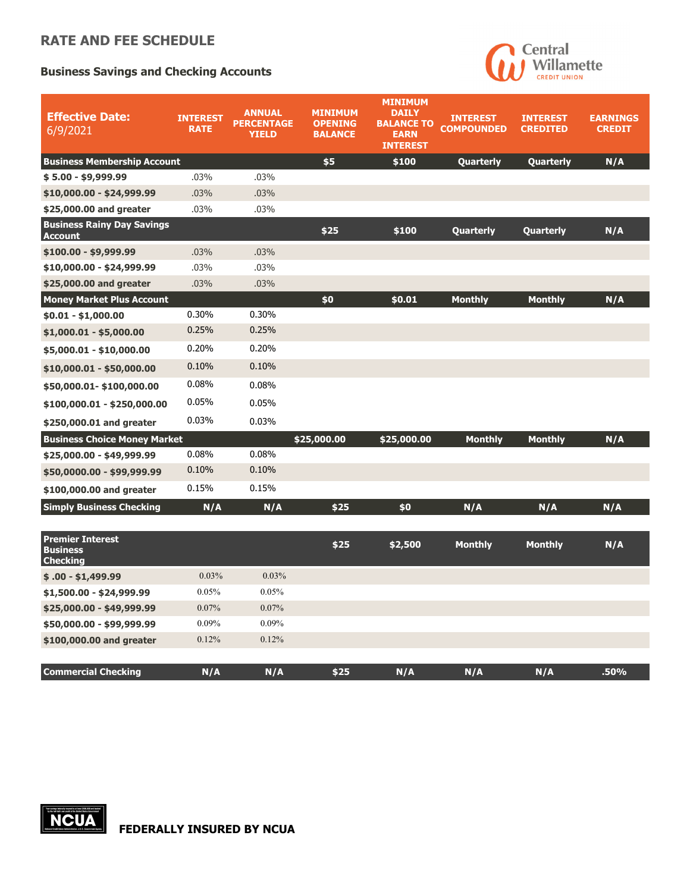## **RATE AND FEE SCHEDULE**

## **Business Savings and Checking Accounts**



| <b>Effective Date:</b><br>6/9/2021                            | <b>INTEREST</b><br><b>RATE</b> | <b>ANNUAL</b><br><b>PERCENTAGE</b><br><b>YIELD</b> | <b>MINIMUM</b><br><b>OPENING</b><br><b>BALANCE</b> | <b>MINIMUM</b><br><b>DAILY</b><br><b>BALANCE TO</b><br><b>EARN</b><br><b>INTEREST</b> | <b>INTEREST</b><br><b>COMPOUNDED</b> | <b>INTEREST</b><br><b>CREDITED</b> | <b>EARNINGS</b><br><b>CREDIT</b> |
|---------------------------------------------------------------|--------------------------------|----------------------------------------------------|----------------------------------------------------|---------------------------------------------------------------------------------------|--------------------------------------|------------------------------------|----------------------------------|
| <b>Business Membership Account</b>                            |                                |                                                    | \$5                                                | \$100                                                                                 | Quarterly                            | Quarterly                          | N/A                              |
| $$5.00 - $9,999.99$                                           | .03%                           | .03%                                               |                                                    |                                                                                       |                                      |                                    |                                  |
| \$10,000.00 - \$24,999.99                                     | .03%                           | .03%                                               |                                                    |                                                                                       |                                      |                                    |                                  |
| \$25,000.00 and greater                                       | .03%                           | .03%                                               |                                                    |                                                                                       |                                      |                                    |                                  |
| <b>Business Rainy Day Savings</b><br><b>Account</b>           |                                |                                                    | \$25                                               | \$100                                                                                 | Quarterly                            | Quarterly                          | N/A                              |
| $$100.00 - $9,999.99$                                         | .03%                           | .03%                                               |                                                    |                                                                                       |                                      |                                    |                                  |
| \$10,000.00 - \$24,999.99                                     | .03%                           | .03%                                               |                                                    |                                                                                       |                                      |                                    |                                  |
| \$25,000.00 and greater                                       | .03%                           | .03%                                               |                                                    |                                                                                       |                                      |                                    |                                  |
| <b>Money Market Plus Account</b>                              |                                |                                                    | \$0                                                | \$0.01                                                                                | <b>Monthly</b>                       | <b>Monthly</b>                     | N/A                              |
| $$0.01 - $1,000.00$                                           | 0.30%                          | 0.30%                                              |                                                    |                                                                                       |                                      |                                    |                                  |
| $$1,000.01 - $5,000.00$                                       | 0.25%                          | 0.25%                                              |                                                    |                                                                                       |                                      |                                    |                                  |
| \$5,000.01 - \$10,000.00                                      | 0.20%                          | 0.20%                                              |                                                    |                                                                                       |                                      |                                    |                                  |
| $$10,000.01 - $50,000.00$                                     | 0.10%                          | 0.10%                                              |                                                    |                                                                                       |                                      |                                    |                                  |
| \$50,000.01-\$100,000.00                                      | 0.08%                          | 0.08%                                              |                                                    |                                                                                       |                                      |                                    |                                  |
| $$100,000.01 - $250,000.00$                                   | 0.05%                          | 0.05%                                              |                                                    |                                                                                       |                                      |                                    |                                  |
| \$250,000.01 and greater                                      | 0.03%                          | 0.03%                                              |                                                    |                                                                                       |                                      |                                    |                                  |
| <b>Business Choice Money Market</b>                           |                                |                                                    | \$25,000.00                                        | \$25,000.00                                                                           | <b>Monthly</b>                       | <b>Monthly</b>                     | N/A                              |
| \$25,000.00 - \$49,999.99                                     | 0.08%                          | 0.08%                                              |                                                    |                                                                                       |                                      |                                    |                                  |
| \$50,0000.00 - \$99,999.99                                    | 0.10%                          | 0.10%                                              |                                                    |                                                                                       |                                      |                                    |                                  |
| \$100,000.00 and greater                                      | 0.15%                          | 0.15%                                              |                                                    |                                                                                       |                                      |                                    |                                  |
| <b>Simply Business Checking</b>                               | N/A                            | N/A                                                | \$25                                               | \$0                                                                                   | N/A                                  | N/A                                | N/A                              |
|                                                               |                                |                                                    |                                                    |                                                                                       |                                      |                                    |                                  |
| <b>Premier Interest</b><br><b>Business</b><br><b>Checking</b> |                                |                                                    | \$25                                               | \$2,500                                                                               | <b>Monthly</b>                       | <b>Monthly</b>                     | N/A                              |
| $$.00 - $1,499.99$                                            | 0.03%                          | 0.03%                                              |                                                    |                                                                                       |                                      |                                    |                                  |
| \$1,500.00 - \$24,999.99                                      | 0.05%                          | 0.05%                                              |                                                    |                                                                                       |                                      |                                    |                                  |
| \$25,000.00 - \$49,999.99                                     | 0.07%                          | 0.07%                                              |                                                    |                                                                                       |                                      |                                    |                                  |
| \$50,000.00 - \$99,999.99                                     | 0.09%                          | 0.09%                                              |                                                    |                                                                                       |                                      |                                    |                                  |
| \$100,000.00 and greater                                      | 0.12%                          | 0.12%                                              |                                                    |                                                                                       |                                      |                                    |                                  |
| <b>Commercial Checking</b>                                    | N/A                            | N/A                                                | \$25                                               | N/A                                                                                   | N/A                                  | N/A                                | .50%                             |